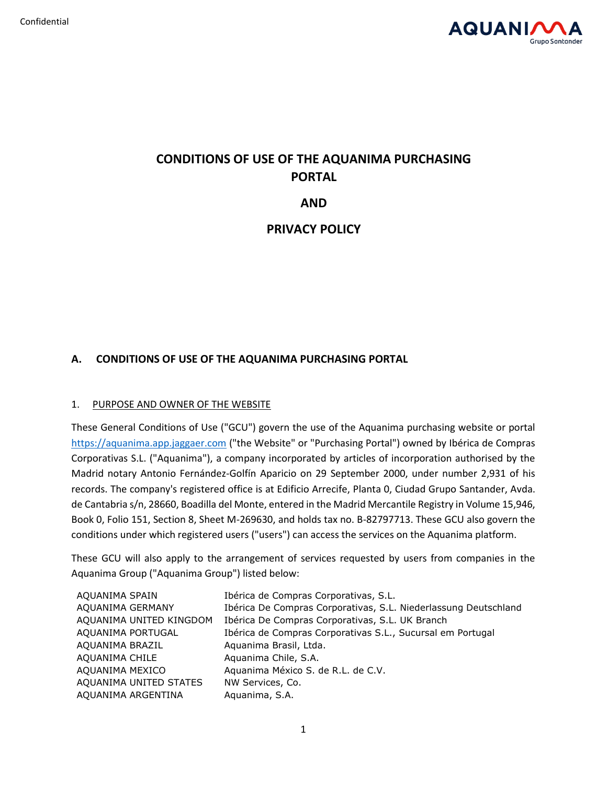

# **CONDITIONS OF USE OF THE AQUANIMA PURCHASING PORTAL**

**AND**

**PRIVACY POLICY**

# **A. CONDITIONS OF USE OF THE AQUANIMA PURCHASING PORTAL**

# 1. PURPOSE AND OWNER OF THE WEBSITE

These General Conditions of Use ("GCU") govern the use of the Aquanima purchasing website or portal [https://aquanima.app.jaggaer.com](https://aquanima.app.jaggaer.com/) ("the Website" or "Purchasing Portal") owned by Ibérica de Compras Corporativas S.L. ("Aquanima"), a company incorporated by articles of incorporation authorised by the Madrid notary Antonio Fernández-Golfín Aparicio on 29 September 2000, under number 2,931 of his records. The company's registered office is at Edificio Arrecife, Planta 0, Ciudad Grupo Santander, Avda. de Cantabria s/n, 28660, Boadilla del Monte, entered in the Madrid Mercantile Registry in Volume 15,946, Book 0, Folio 151, Section 8, Sheet M-269630, and holds tax no. B-82797713. These GCU also govern the conditions under which registered users ("users") can access the services on the Aquanima platform.

These GCU will also apply to the arrangement of services requested by users from companies in the Aquanima Group ("Aquanima Group") listed below:

| AQUANIMA SPAIN          | Ibérica de Compras Corporativas, S.L.                           |
|-------------------------|-----------------------------------------------------------------|
| AQUANIMA GERMANY        | Ibérica De Compras Corporativas, S.L. Niederlassung Deutschland |
| AQUANIMA UNITED KINGDOM | Ibérica De Compras Corporativas, S.L. UK Branch                 |
| AQUANIMA PORTUGAL       | Ibérica de Compras Corporativas S.L., Sucursal em Portugal      |
| AQUANIMA BRAZIL         | Aquanima Brasil, Ltda.                                          |
| AQUANIMA CHILE          | Aquanima Chile, S.A.                                            |
| AQUANIMA MEXICO         | Aquanima México S. de R.L. de C.V.                              |
| AQUANIMA UNITED STATES  | NW Services, Co.                                                |
| AQUANIMA ARGENTINA      | Aquanima, S.A.                                                  |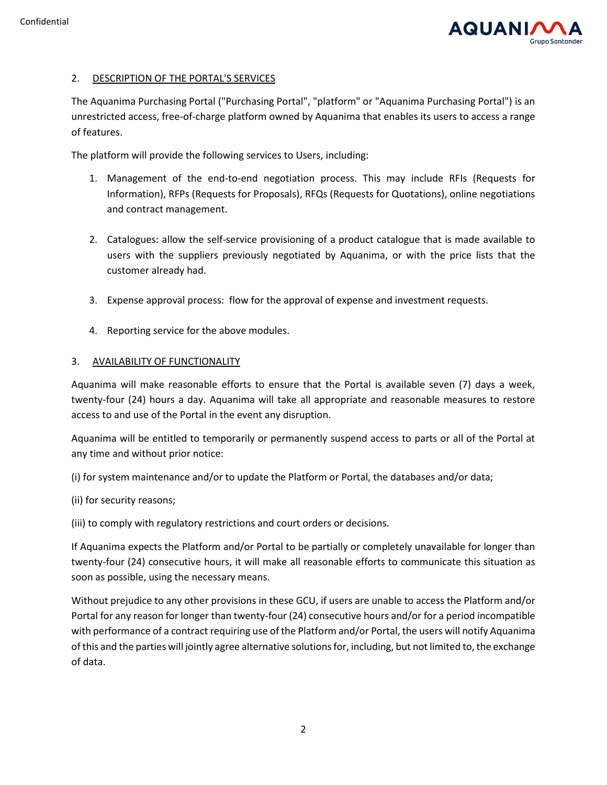

# 2. DESCRIPTION OF THE PORTAL'S SERVICES

The Aquanima Purchasing Portal ("Purchasing Portal", "platform" or "Aquanima Purchasing Portal") is an unrestricted access, free-of-charge platform owned by Aquanima that enables its users to access a range of features.

The platform will provide the following services to Users, including:

- 1. Management of the end-to-end negotiation process. This may include RFIs (Requests for Information), RFPs (Requests for Proposals), RFQs (Requests for Quotations), online negotiations and contract management.
- 2. Catalogues: allow the self-service provisioning of a product catalogue that is made available to users with the suppliers previously negotiated by Aquanima, or with the price lists that the customer already had.
- 3. Expense approval process: flow for the approval of expense and investment requests.
- 4. Reporting service for the above modules.

#### 3. AVAILABILITY OF FUNCTIONALITY

Aquanima will make reasonable efforts to ensure that the Portal is available seven (7) days a week, twenty-four (24) hours a day. Aquanima will take all appropriate and reasonable measures to restore access to and use of the Portal in the event any disruption.

Aquanima will be entitled to temporarily or permanently suspend access to parts or all of the Portal at any time and without prior notice:

(i) for system maintenance and/or to update the Platform or Portal, the databases and/or data;

(ii) for security reasons;

(iii) to comply with regulatory restrictions and court orders or decisions.

If Aquanima expects the Platform and/or Portal to be partially or completely unavailable for longer than twenty-four (24) consecutive hours, it will make all reasonable efforts to communicate this situation as soon as possible, using the necessary means.

Without prejudice to any other provisions in these GCU, if users are unable to access the Platform and/or Portal for any reason for longer than twenty-four (24) consecutive hours and/or for a period incompatible with performance of a contract requiring use of the Platform and/or Portal, the users will notify Aquanima of this and the parties will jointly agree alternative solutions for, including, but not limited to, the exchange of data.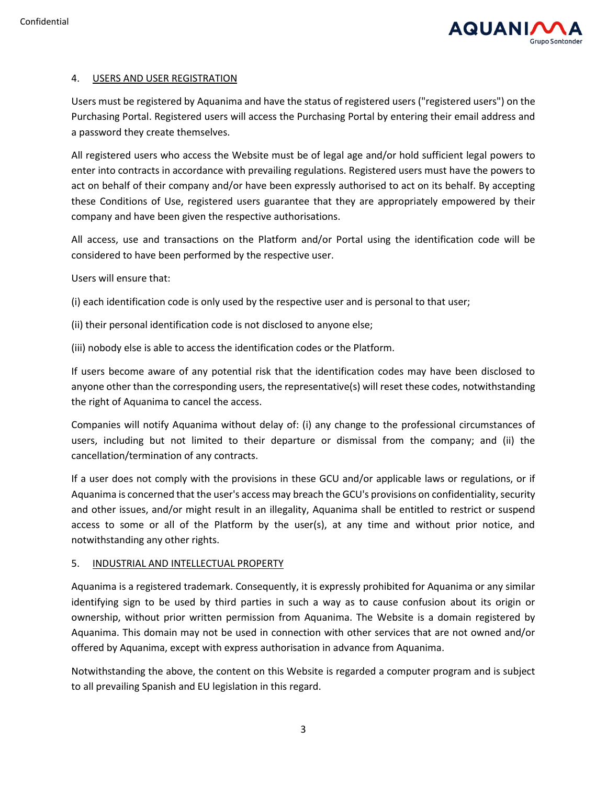

#### 4. USERS AND USER REGISTRATION

Users must be registered by Aquanima and have the status of registered users ("registered users") on the Purchasing Portal. Registered users will access the Purchasing Portal by entering their email address and a password they create themselves.

All registered users who access the Website must be of legal age and/or hold sufficient legal powers to enter into contracts in accordance with prevailing regulations. Registered users must have the powers to act on behalf of their company and/or have been expressly authorised to act on its behalf. By accepting these Conditions of Use, registered users guarantee that they are appropriately empowered by their company and have been given the respective authorisations.

All access, use and transactions on the Platform and/or Portal using the identification code will be considered to have been performed by the respective user.

Users will ensure that:

(i) each identification code is only used by the respective user and is personal to that user;

(ii) their personal identification code is not disclosed to anyone else;

(iii) nobody else is able to access the identification codes or the Platform.

If users become aware of any potential risk that the identification codes may have been disclosed to anyone other than the corresponding users, the representative(s) will reset these codes, notwithstanding the right of Aquanima to cancel the access.

Companies will notify Aquanima without delay of: (i) any change to the professional circumstances of users, including but not limited to their departure or dismissal from the company; and (ii) the cancellation/termination of any contracts.

If a user does not comply with the provisions in these GCU and/or applicable laws or regulations, or if Aquanima is concerned that the user's access may breach the GCU's provisions on confidentiality, security and other issues, and/or might result in an illegality, Aquanima shall be entitled to restrict or suspend access to some or all of the Platform by the user(s), at any time and without prior notice, and notwithstanding any other rights.

#### 5. INDUSTRIAL AND INTELLECTUAL PROPERTY

Aquanima is a registered trademark. Consequently, it is expressly prohibited for Aquanima or any similar identifying sign to be used by third parties in such a way as to cause confusion about its origin or ownership, without prior written permission from Aquanima. The Website is a domain registered by Aquanima. This domain may not be used in connection with other services that are not owned and/or offered by Aquanima, except with express authorisation in advance from Aquanima.

Notwithstanding the above, the content on this Website is regarded a computer program and is subject to all prevailing Spanish and EU legislation in this regard.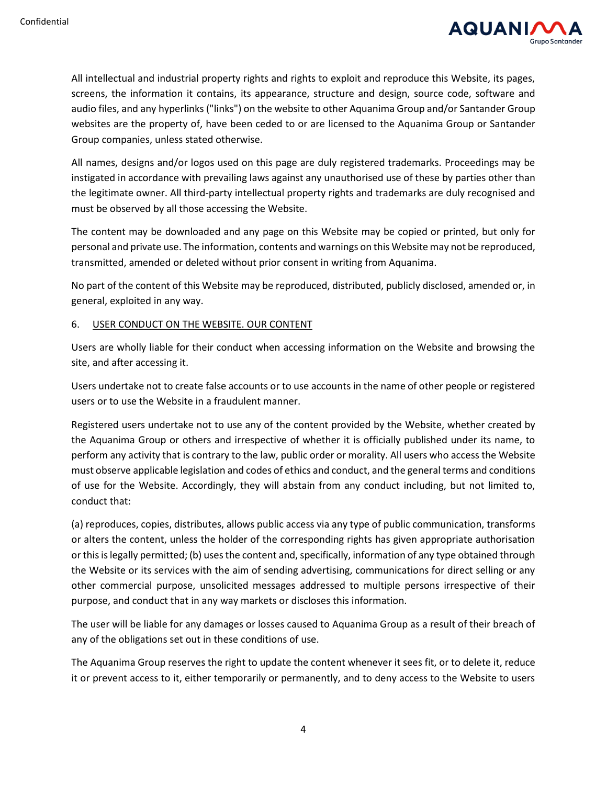

All intellectual and industrial property rights and rights to exploit and reproduce this Website, its pages, screens, the information it contains, its appearance, structure and design, source code, software and audio files, and any hyperlinks ("links") on the website to other Aquanima Group and/or Santander Group websites are the property of, have been ceded to or are licensed to the Aquanima Group or Santander Group companies, unless stated otherwise.

All names, designs and/or logos used on this page are duly registered trademarks. Proceedings may be instigated in accordance with prevailing laws against any unauthorised use of these by parties other than the legitimate owner. All third-party intellectual property rights and trademarks are duly recognised and must be observed by all those accessing the Website.

The content may be downloaded and any page on this Website may be copied or printed, but only for personal and private use. The information, contents and warnings on this Website may not be reproduced, transmitted, amended or deleted without prior consent in writing from Aquanima.

No part of the content of this Website may be reproduced, distributed, publicly disclosed, amended or, in general, exploited in any way.

#### 6. USER CONDUCT ON THE WEBSITE. OUR CONTENT

Users are wholly liable for their conduct when accessing information on the Website and browsing the site, and after accessing it.

Users undertake not to create false accounts or to use accounts in the name of other people or registered users or to use the Website in a fraudulent manner.

Registered users undertake not to use any of the content provided by the Website, whether created by the Aquanima Group or others and irrespective of whether it is officially published under its name, to perform any activity that is contrary to the law, public order or morality. All users who access the Website must observe applicable legislation and codes of ethics and conduct, and the general terms and conditions of use for the Website. Accordingly, they will abstain from any conduct including, but not limited to, conduct that:

(a) reproduces, copies, distributes, allows public access via any type of public communication, transforms or alters the content, unless the holder of the corresponding rights has given appropriate authorisation or this is legally permitted; (b) uses the content and, specifically, information of any type obtained through the Website or its services with the aim of sending advertising, communications for direct selling or any other commercial purpose, unsolicited messages addressed to multiple persons irrespective of their purpose, and conduct that in any way markets or discloses this information.

The user will be liable for any damages or losses caused to Aquanima Group as a result of their breach of any of the obligations set out in these conditions of use.

The Aquanima Group reserves the right to update the content whenever it sees fit, or to delete it, reduce it or prevent access to it, either temporarily or permanently, and to deny access to the Website to users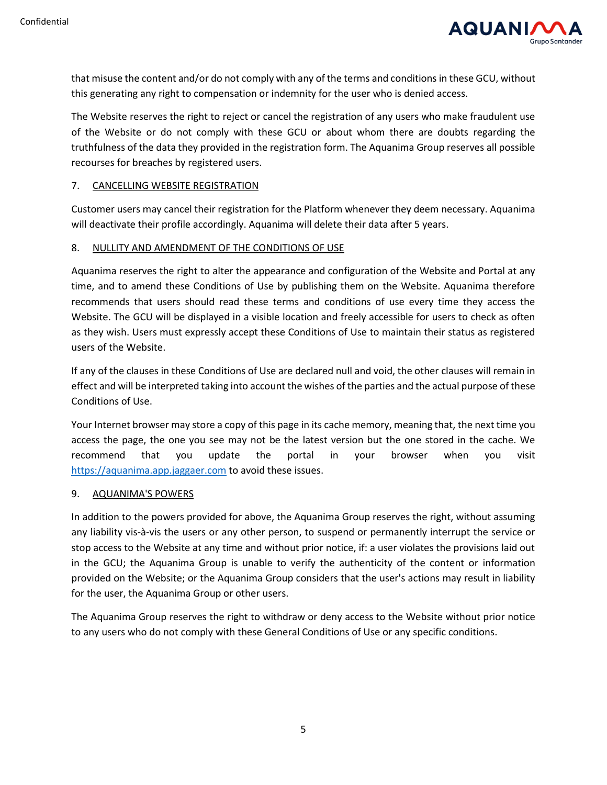

that misuse the content and/or do not comply with any of the terms and conditions in these GCU, without this generating any right to compensation or indemnity for the user who is denied access.

The Website reserves the right to reject or cancel the registration of any users who make fraudulent use of the Website or do not comply with these GCU or about whom there are doubts regarding the truthfulness of the data they provided in the registration form. The Aquanima Group reserves all possible recourses for breaches by registered users.

#### 7. CANCELLING WEBSITE REGISTRATION

Customer users may cancel their registration for the Platform whenever they deem necessary. Aquanima will deactivate their profile accordingly. Aquanima will delete their data after 5 years.

#### 8. NULLITY AND AMENDMENT OF THE CONDITIONS OF USE

Aquanima reserves the right to alter the appearance and configuration of the Website and Portal at any time, and to amend these Conditions of Use by publishing them on the Website. Aquanima therefore recommends that users should read these terms and conditions of use every time they access the Website. The GCU will be displayed in a visible location and freely accessible for users to check as often as they wish. Users must expressly accept these Conditions of Use to maintain their status as registered users of the Website.

If any of the clauses in these Conditions of Use are declared null and void, the other clauses will remain in effect and will be interpreted taking into account the wishes of the parties and the actual purpose of these Conditions of Use.

Your Internet browser may store a copy of this page in its cache memory, meaning that, the next time you access the page, the one you see may not be the latest version but the one stored in the cache. We recommend that you update the portal in your browser when you visit [https://aquanima.app.jaggaer.com](https://aquanima.app.jaggaer.com/) to avoid these issues.

#### 9. AQUANIMA'S POWERS

In addition to the powers provided for above, the Aquanima Group reserves the right, without assuming any liability vis-à-vis the users or any other person, to suspend or permanently interrupt the service or stop access to the Website at any time and without prior notice, if: a user violates the provisions laid out in the GCU; the Aquanima Group is unable to verify the authenticity of the content or information provided on the Website; or the Aquanima Group considers that the user's actions may result in liability for the user, the Aquanima Group or other users.

The Aquanima Group reserves the right to withdraw or deny access to the Website without prior notice to any users who do not comply with these General Conditions of Use or any specific conditions.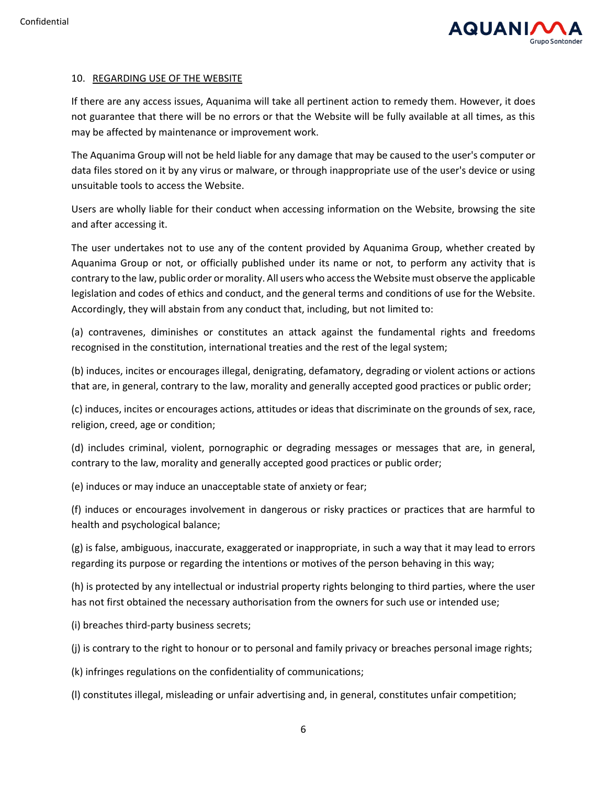

#### 10. REGARDING USE OF THE WEBSITE

If there are any access issues, Aquanima will take all pertinent action to remedy them. However, it does not guarantee that there will be no errors or that the Website will be fully available at all times, as this may be affected by maintenance or improvement work.

The Aquanima Group will not be held liable for any damage that may be caused to the user's computer or data files stored on it by any virus or malware, or through inappropriate use of the user's device or using unsuitable tools to access the Website.

Users are wholly liable for their conduct when accessing information on the Website, browsing the site and after accessing it.

The user undertakes not to use any of the content provided by Aquanima Group, whether created by Aquanima Group or not, or officially published under its name or not, to perform any activity that is contrary to the law, public order or morality. All users who access the Website must observe the applicable legislation and codes of ethics and conduct, and the general terms and conditions of use for the Website. Accordingly, they will abstain from any conduct that, including, but not limited to:

(a) contravenes, diminishes or constitutes an attack against the fundamental rights and freedoms recognised in the constitution, international treaties and the rest of the legal system;

(b) induces, incites or encourages illegal, denigrating, defamatory, degrading or violent actions or actions that are, in general, contrary to the law, morality and generally accepted good practices or public order;

(c) induces, incites or encourages actions, attitudes or ideas that discriminate on the grounds of sex, race, religion, creed, age or condition;

(d) includes criminal, violent, pornographic or degrading messages or messages that are, in general, contrary to the law, morality and generally accepted good practices or public order;

(e) induces or may induce an unacceptable state of anxiety or fear;

(f) induces or encourages involvement in dangerous or risky practices or practices that are harmful to health and psychological balance;

(g) is false, ambiguous, inaccurate, exaggerated or inappropriate, in such a way that it may lead to errors regarding its purpose or regarding the intentions or motives of the person behaving in this way;

(h) is protected by any intellectual or industrial property rights belonging to third parties, where the user has not first obtained the necessary authorisation from the owners for such use or intended use;

(i) breaches third-party business secrets;

(j) is contrary to the right to honour or to personal and family privacy or breaches personal image rights;

(k) infringes regulations on the confidentiality of communications;

(l) constitutes illegal, misleading or unfair advertising and, in general, constitutes unfair competition;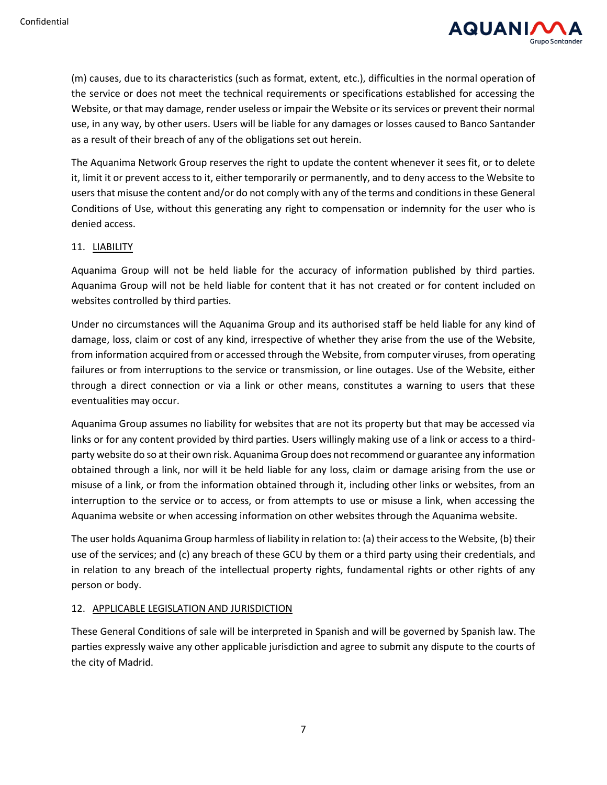

(m) causes, due to its characteristics (such as format, extent, etc.), difficulties in the normal operation of the service or does not meet the technical requirements or specifications established for accessing the Website, or that may damage, render useless or impair the Website or its services or prevent their normal use, in any way, by other users. Users will be liable for any damages or losses caused to Banco Santander as a result of their breach of any of the obligations set out herein.

The Aquanima Network Group reserves the right to update the content whenever it sees fit, or to delete it, limit it or prevent access to it, either temporarily or permanently, and to deny access to the Website to users that misuse the content and/or do not comply with any of the terms and conditions in these General Conditions of Use, without this generating any right to compensation or indemnity for the user who is denied access.

# 11. LIABILITY

Aquanima Group will not be held liable for the accuracy of information published by third parties. Aquanima Group will not be held liable for content that it has not created or for content included on websites controlled by third parties.

Under no circumstances will the Aquanima Group and its authorised staff be held liable for any kind of damage, loss, claim or cost of any kind, irrespective of whether they arise from the use of the Website, from information acquired from or accessed through the Website, from computer viruses, from operating failures or from interruptions to the service or transmission, or line outages. Use of the Website, either through a direct connection or via a link or other means, constitutes a warning to users that these eventualities may occur.

Aquanima Group assumes no liability for websites that are not its property but that may be accessed via links or for any content provided by third parties. Users willingly making use of a link or access to a thirdparty website do so at their own risk. Aquanima Group does not recommend or guarantee any information obtained through a link, nor will it be held liable for any loss, claim or damage arising from the use or misuse of a link, or from the information obtained through it, including other links or websites, from an interruption to the service or to access, or from attempts to use or misuse a link, when accessing the Aquanima website or when accessing information on other websites through the Aquanima website.

The user holds Aquanima Group harmless of liability in relation to: (a) their access to the Website, (b) their use of the services; and (c) any breach of these GCU by them or a third party using their credentials, and in relation to any breach of the intellectual property rights, fundamental rights or other rights of any person or body.

# 12. APPLICABLE LEGISLATION AND JURISDICTION

These General Conditions of sale will be interpreted in Spanish and will be governed by Spanish law. The parties expressly waive any other applicable jurisdiction and agree to submit any dispute to the courts of the city of Madrid.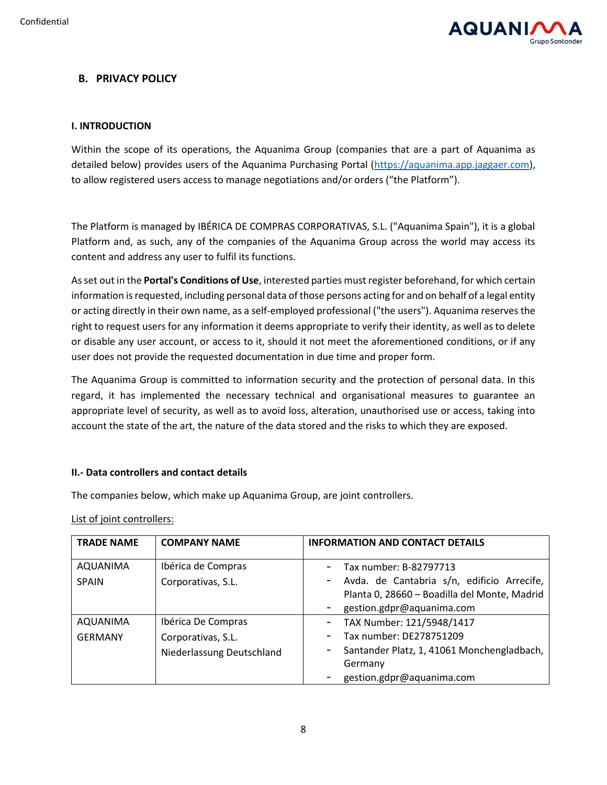

# **B. PRIVACY POLICY**

# **I. INTRODUCTION**

Within the scope of its operations, the Aquanima Group (companies that are a part of Aquanima as detailed below) provides users of the Aquanima Purchasing Portal [\(https://aquanima.app.jaggaer.com\)](https://aquanima.app.jaggaer.com/), to allow registered users access to manage negotiations and/or orders ("the Platform").

The Platform is managed by IBÉRICA DE COMPRAS CORPORATIVAS, S.L. ("Aquanima Spain"), it is a global Platform and, as such, any of the companies of the Aquanima Group across the world may access its content and address any user to fulfil its functions.

As set out in the **Portal's Conditions of Use**, interested parties must register beforehand, for which certain information is requested, including personal data of those persons acting for and on behalf of a legal entity or acting directly in their own name, as a self-employed professional ("the users"). Aquanima reserves the right to request users for any information it deems appropriate to verify their identity, as well as to delete or disable any user account, or access to it, should it not meet the aforementioned conditions, or if any user does not provide the requested documentation in due time and proper form.

The Aquanima Group is committed to information security and the protection of personal data. In this regard, it has implemented the necessary technical and organisational measures to guarantee an appropriate level of security, as well as to avoid loss, alteration, unauthorised use or access, taking into account the state of the art, the nature of the data stored and the risks to which they are exposed.

# **II.- Data controllers and contact details**

The companies below, which make up Aquanima Group, are joint controllers.

List of joint controllers:

| <b>TRADE NAME</b> | <b>COMPANY NAME</b>                             | <b>INFORMATION AND CONTACT DETAILS</b>                                                                                  |
|-------------------|-------------------------------------------------|-------------------------------------------------------------------------------------------------------------------------|
| <b>AQUANIMA</b>   | Ibérica de Compras                              | Tax number: B-82797713                                                                                                  |
| <b>SPAIN</b>      | Corporativas, S.L.                              | Avda. de Cantabria s/n, edificio Arrecife,<br>Planta 0, 28660 - Boadilla del Monte, Madrid<br>gestion.gdpr@aquanima.com |
| AQUANIMA          | Ibérica De Compras                              | TAX Number: 121/5948/1417                                                                                               |
| <b>GERMANY</b>    | Corporativas, S.L.<br>Niederlassung Deutschland | Tax number: DE278751209<br>Santander Platz, 1, 41061 Monchengladbach,<br>Germany<br>gestion.gdpr@aquanima.com           |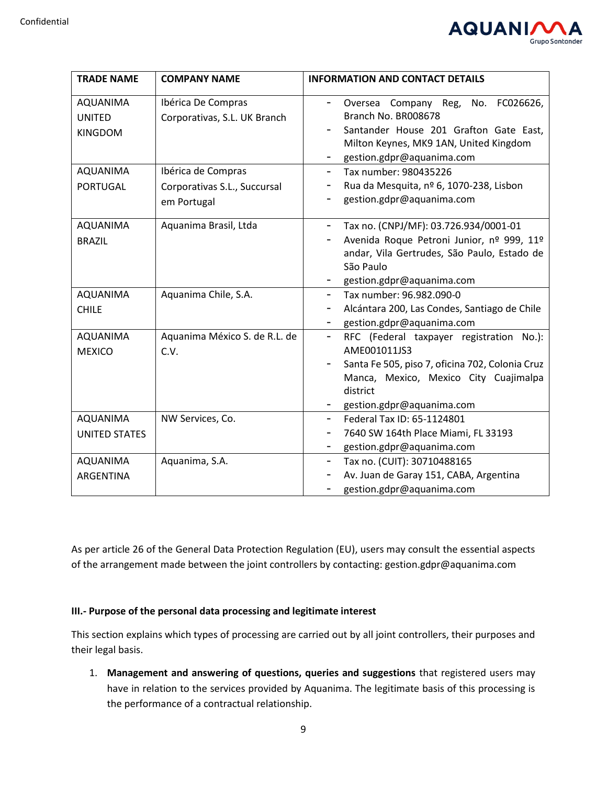

| <b>TRADE NAME</b>                                                                 | <b>COMPANY NAME</b>                                                                                                     | <b>INFORMATION AND CONTACT DETAILS</b>                                                                                                                                                                                                                                                                                       |
|-----------------------------------------------------------------------------------|-------------------------------------------------------------------------------------------------------------------------|------------------------------------------------------------------------------------------------------------------------------------------------------------------------------------------------------------------------------------------------------------------------------------------------------------------------------|
| <b>AQUANIMA</b><br><b>UNITED</b><br><b>KINGDOM</b><br>AQUANIMA<br><b>PORTUGAL</b> | Ibérica De Compras<br>Corporativas, S.L. UK Branch<br>Ibérica de Compras<br>Corporativas S.L., Succursal<br>em Portugal | Oversea Company Reg, No. FC026626,<br>$\overline{\phantom{0}}$<br>Branch No. BR008678<br>Santander House 201 Grafton Gate East,<br>Ξ.<br>Milton Keynes, MK9 1AN, United Kingdom<br>gestion.gdpr@aquanima.com<br>۰<br>Tax number: 980435226<br>Rua da Mesquita, nº 6, 1070-238, Lisbon<br>-<br>gestion.gdpr@aquanima.com<br>- |
| <b>AQUANIMA</b><br><b>BRAZIL</b>                                                  | Aquanima Brasil, Ltda                                                                                                   | Tax no. (CNPJ/MF): 03.726.934/0001-01<br>-<br>Avenida Roque Petroni Junior, nº 999, 11º<br>andar, Vila Gertrudes, São Paulo, Estado de<br>São Paulo<br>gestion.gdpr@aquanima.com                                                                                                                                             |
| <b>AQUANIMA</b><br><b>CHILE</b>                                                   | Aquanima Chile, S.A.                                                                                                    | Tax number: 96.982.090-0<br>$\qquad \qquad -$<br>Alcántara 200, Las Condes, Santiago de Chile<br>-<br>gestion.gdpr@aquanima.com<br>-                                                                                                                                                                                         |
| <b>AQUANIMA</b><br><b>MEXICO</b>                                                  | Aquanima México S. de R.L. de<br>C.V.                                                                                   | RFC (Federal taxpayer registration No.):<br>-<br>AME001011JS3<br>Santa Fe 505, piso 7, oficina 702, Colonia Cruz<br>Manca, Mexico, Mexico City Cuajimalpa<br>district<br>gestion.gdpr@aquanima.com                                                                                                                           |
| <b>AQUANIMA</b><br><b>UNITED STATES</b>                                           | NW Services, Co.                                                                                                        | Federal Tax ID: 65-1124801<br>-<br>7640 SW 164th Place Miami, FL 33193<br>-<br>gestion.gdpr@aquanima.com<br>-                                                                                                                                                                                                                |
| AQUANIMA<br>ARGENTINA                                                             | Aquanima, S.A.                                                                                                          | Tax no. (CUIT): 30710488165<br>-<br>Av. Juan de Garay 151, CABA, Argentina<br>gestion.gdpr@aquanima.com<br>-                                                                                                                                                                                                                 |

As per article 26 of the General Data Protection Regulation (EU), users may consult the essential aspects of the arrangement made between the joint controllers by contacting: gestion.gdpr@aquanima.com

# **III.- Purpose of the personal data processing and legitimate interest**

This section explains which types of processing are carried out by all joint controllers, their purposes and their legal basis.

1. **Management and answering of questions, queries and suggestions** that registered users may have in relation to the services provided by Aquanima. The legitimate basis of this processing is the performance of a contractual relationship.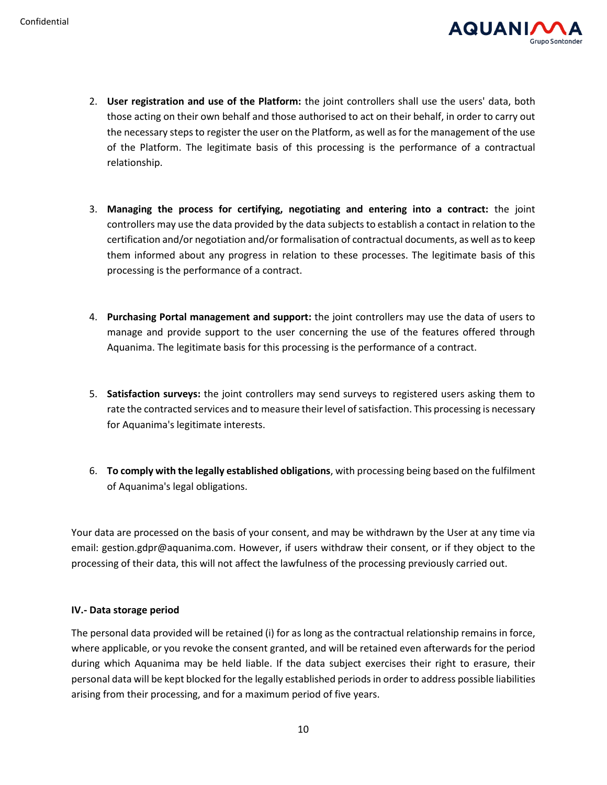

- 2. **User registration and use of the Platform:** the joint controllers shall use the users' data, both those acting on their own behalf and those authorised to act on their behalf, in order to carry out the necessary steps to register the user on the Platform, as well as for the management of the use of the Platform. The legitimate basis of this processing is the performance of a contractual relationship.
- 3. **Managing the process for certifying, negotiating and entering into a contract:** the joint controllers may use the data provided by the data subjects to establish a contact in relation to the certification and/or negotiation and/or formalisation of contractual documents, as well as to keep them informed about any progress in relation to these processes. The legitimate basis of this processing is the performance of a contract.
- 4. **Purchasing Portal management and support:** the joint controllers may use the data of users to manage and provide support to the user concerning the use of the features offered through Aquanima. The legitimate basis for this processing is the performance of a contract.
- 5. **Satisfaction surveys:** the joint controllers may send surveys to registered users asking them to rate the contracted services and to measure their level of satisfaction. This processing is necessary for Aquanima's legitimate interests.
- 6. **To comply with the legally established obligations**, with processing being based on the fulfilment of Aquanima's legal obligations.

Your data are processed on the basis of your consent, and may be withdrawn by the User at any time via email: gestion.gdpr@aquanima.com. However, if users withdraw their consent, or if they object to the processing of their data, this will not affect the lawfulness of the processing previously carried out.

#### **IV.- Data storage period**

The personal data provided will be retained (i) for as long as the contractual relationship remains in force, where applicable, or you revoke the consent granted, and will be retained even afterwards for the period during which Aquanima may be held liable. If the data subject exercises their right to erasure, their personal data will be kept blocked for the legally established periods in order to address possible liabilities arising from their processing, and for a maximum period of five years.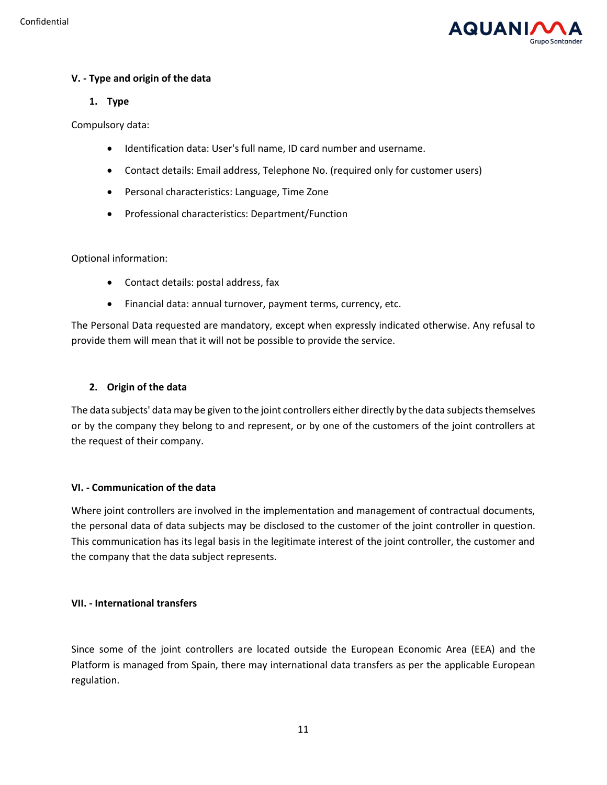

# **V. - Type and origin of the data**

# **1. Type**

Compulsory data:

- Identification data: User's full name, ID card number and username.
- Contact details: Email address, Telephone No. (required only for customer users)
- Personal characteristics: Language, Time Zone
- Professional characteristics: Department/Function

# Optional information:

- Contact details: postal address, fax
- Financial data: annual turnover, payment terms, currency, etc.

The Personal Data requested are mandatory, except when expressly indicated otherwise. Any refusal to provide them will mean that it will not be possible to provide the service.

# **2. Origin of the data**

The data subjects' data may be given to the joint controllers either directly by the data subjects themselves or by the company they belong to and represent, or by one of the customers of the joint controllers at the request of their company.

# **VI. - Communication of the data**

Where joint controllers are involved in the implementation and management of contractual documents, the personal data of data subjects may be disclosed to the customer of the joint controller in question. This communication has its legal basis in the legitimate interest of the joint controller, the customer and the company that the data subject represents.

# **VII. - International transfers**

Since some of the joint controllers are located outside the European Economic Area (EEA) and the Platform is managed from Spain, there may international data transfers as per the applicable European regulation.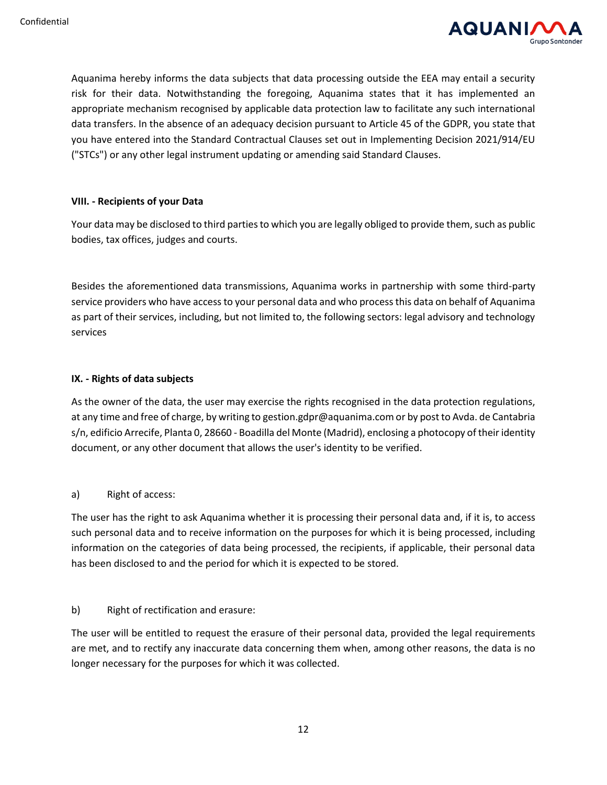

Aquanima hereby informs the data subjects that data processing outside the EEA may entail a security risk for their data. Notwithstanding the foregoing, Aquanima states that it has implemented an appropriate mechanism recognised by applicable data protection law to facilitate any such international data transfers. In the absence of an adequacy decision pursuant to Article 45 of the GDPR, you state that you have entered into the Standard Contractual Clauses set out in Implementing Decision 2021/914/EU ("STCs") or any other legal instrument updating or amending said Standard Clauses.

#### **VIII. - Recipients of your Data**

Your data may be disclosed to third parties to which you are legally obliged to provide them, such as public bodies, tax offices, judges and courts.

Besides the aforementioned data transmissions, Aquanima works in partnership with some third-party service providers who have access to your personal data and who process this data on behalf of Aquanima as part of their services, including, but not limited to, the following sectors: legal advisory and technology services

# **IX. - Rights of data subjects**

As the owner of the data, the user may exercise the rights recognised in the data protection regulations, at any time and free of charge, by writing to gestion.gdpr@aquanima.com or by post to Avda. de Cantabria s/n, edificio Arrecife, Planta 0, 28660 - Boadilla del Monte (Madrid), enclosing a photocopy of their identity document, or any other document that allows the user's identity to be verified.

# a) Right of access:

The user has the right to ask Aquanima whether it is processing their personal data and, if it is, to access such personal data and to receive information on the purposes for which it is being processed, including information on the categories of data being processed, the recipients, if applicable, their personal data has been disclosed to and the period for which it is expected to be stored.

b) Right of rectification and erasure:

The user will be entitled to request the erasure of their personal data, provided the legal requirements are met, and to rectify any inaccurate data concerning them when, among other reasons, the data is no longer necessary for the purposes for which it was collected.